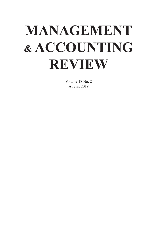# **MANAGEMENT & ACCOUNTING REVIEW**

Volume 18 No. 2 August 2019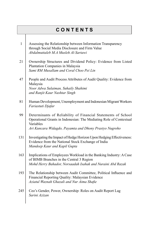|              | <b>CONTENTS</b>                                                                                                                                                                                            |
|--------------|------------------------------------------------------------------------------------------------------------------------------------------------------------------------------------------------------------|
| $\mathbf{1}$ | Assessing the Relationship between Information Transparency<br>through Social Media Disclosure and Firm Value<br>Abdalmuttaleb M.A Musleh Al-Sartawi                                                       |
| 21           | Ownership Structures and Dividend Policy: Evidence from Listed<br>Plantation Companies in Malaysia<br>Sami RM Musallam and Coral Choo Pei Lin                                                              |
| 47           | People and Audit Process Attributes of Audit Quality: Evidence from<br>Malaysia<br>Noor Adwa Sulaiman, Suhaily Shahimi<br>and Ranjit Kaur Nashtar Singh                                                    |
| 81           | Human Development, Unemployment and Indonesian Migrant Workers<br>Fariastuti Djafar                                                                                                                        |
| 99           | Determinants of Reliability of Financial Statements of School<br>Operational Grants in Indonesian: The Mediating Role of Contextual<br>Variables<br>Ari Kuncara Widagdo, Payamta and Dhony Prastyo Nugroho |
| 131          | Investigating the Impact of Hedge Horizon Upon Hedging Effectiveness:<br>Evidence from the National Stock Exchange of India<br>Mandeep Kaur and Kapil Gupta                                                |
| 163          | Implications of Employees Workload in the Banking Industry: A Case<br>of BIMB Branches in the Central 3 Region<br>Mohd Herry Bahador, Norsaadah Isahak and Nuraini Abd Razak                               |
| 193          | The Relationship between Audit Committee, Political Influence and<br>Financial Reporting Quality: Malaysian Evidence<br>Aziatul Waznah Ghazali and Nur Aima Shafie                                         |
| 245          | Ceo's Gender, Power, Ownership: Roles on Audit Report Lag<br>Sarini Azizan                                                                                                                                 |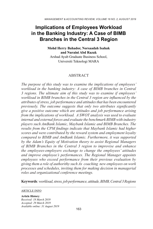## **Implications of Employees Workload in the Banking Industry: A Case of BIMB Branches in the Central 3 Region**

**Mohd Herry Bahador, Norsaadah Isahak and Nuraini Abd Razak**  Arshad Ayub Graduate Business School, Universiti Teknologi MARA

## **ABSTRACT**

*The purpose of this study was to examine the implications of employees' workload in the banking industry: A case of BIMB branches in Central 3 regions. The ultimate aim of this study was to examine if employees' workload in BIMB branches in the Central 3 region are influenced by the attributes of stress, job performance and attitudes that has been encountered previously. The outcome suggests that only two attributes significantly give a positive outcome which are attitudes and job performance arising from the implications of workload. A SWOT analysis was used to evaluate internal and external forces and evaluate the benchmark BIMB with industry players such AmBank Islamic, Maybank Islamic and BIMB Branches. The results from the CPM findings indicate that Maybank Islamic had higher scores and were contributed by the reward system and employment loyalty compared to BIMB and AmBank Islamic. Furthermore, it was supported by the Adam's Equity of Motivation theory to assist Regional Managers of BIMB Branches in the Central 3 region to improvise and enhance the employees-employers exchange to change the employees' attitudes and improve employee's performances. The Regional Manager appoints employees who exceed performance from their previous evaluation by giving them a role of authorithy such As coaching new employees on work processes and schedules, inviting them for making decision in managerial roles and organizational conference meetings.*

**Keywords***: workload, stress, job performance, attitude, BIMB, Central 3 Regions*

#### ARTICLE INFO

**Article History**: *Received: 18 March 2019 Accepted: 29 March 2019 Available online: 31 August 2019*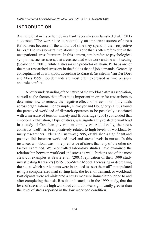## **INTRODUCTION**

An individual in his or her job in a bank faces stress as Jamshed et al. (2011) suggested "The workplace is potentially an important source of stress for bankers because of the amount of time they spend in their respective banks." The stressor–strain relationship is one that is often referred to in the occupational stress literature. In this context, strain refers to psychological symptoms, such as stress, that are associated with work and the work setting (Searle et al. 2001), while a stressor is a predictor of strain. Perhaps one of the most researched stressors in the field is that of job demands. Generally conceptualized as workload, according to Karasek (as cited in Van Der Doef and Maes 1999), job demands are most often expressed as time pressure and role conflict.

A better understanding of the nature of the workload-stress association, as well as the factors that affect it, is important in order for researchers to determine how to remedy the negative effects of stressors on individuals across organizations. For example, Kirmeyer and Dougherty (1988) found the perceived workload of dispatch operators to be positively associated with a measure of tension-anxiety and Brotheridge (2001) concluded that emotional exhaustion, a type of stress, was significantly related to workload in a study of Canadian government employees. Additionally, the stress construct itself has been positively related to high levels of workload by many researchers. Tyler and Cushway (1995) established a significant and positive link between workload level and stress levels in nurses. In this instance, workload was more predictive of stress than any of the other six factors examined. Well-controlled laboratory studies have examined the relationship between workload and stress as well. Perhaps one of the most clear-cut examples is Searle et al. (2001) replication of their 1999 study investigating Karasek's (1979) Job-Strain Model. Increasing or decreasing the rate at which participants were instructed to "sort the mail" manipulated using a computerized mail sorting task, the level of demand, or workload. Participants were administered a stress measure immediately prior to and after completing the task. Results indicated, as in the 1999 study, that the level of stress for the high workload condition was significantly greater than the level of stress reported in the low workload condition.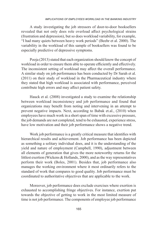A study investigating the job stressors of door-to-door booksellers revealed that not only does role overload affect psychological strains (frustration and depression), but so does workload variability, for example, "I had many quiets between heavy work periods" (Beehr et al. 2000). The variability in the workload of this sample of booksellers was found to be especially predictive of depressive symptoms.

Pooja (2013) stated that each organization should know the concept of workload in order to ensure them able to operate efficiently and effectively. The inconsistent setting of workload may affect the overall performance. A similar study on job performance has been conducted by Dr Sarah et al. (2011) on their study of workload in the Pharmaceutical industry where they stated that high workload is associated with performance, perceived contribute high errors and may affect patient safety.

Hauck et al. (2008) investigated a study to examine the relationship between workload inconsistency and job performance and found that organizations may benefit from noting and intervening in an attempt to prevent negative impacts. Next, according to Babak et.al., (2010) when employees have much work in a short span of time with excessive pressure, the job demands are not completed, tend to be exhausted, experience stress, have low motivation and their job performance shows a negative trend.

Work job performance is a greatly critical measure that identifies with hierarchical results and achievement. Job performance has been depicted as something a solitary individual does, and it is the understanding of the yield and nature of employment (Campbell, 1990), adjustment between all elements of generation that gives the more noteworthy returns for the littlest exertion (Wickens & Hollands, 2000), and as the way representatives perform their work (Boles, 2001). Besides that, job performance also manages the working environment where it most ordinarily refers to the standard of work that compares to good quality. Job performance must be coordinated to authoritative objectives that are applicable to the work.

Moreover, job performance does exclude exercises where exertion is exhausted to accomplishing fringe objectives. For instance, exertion put towards the objective of getting to work in the most limited measure of time is not job performance. The components of employee job performance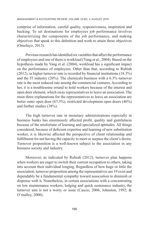comprise of information, careful quality, responsiveness, inspiration and backing. To set destinations for employees job performance involves characterizing the components of the job performance, and making objectives that speak to this definition and work to attain these objectives (Omolayo, 2013).

Previous research has identified six variables that affect the performance of employees and one of them is workload (Yang et al., 2004). Based on the hypothesis made by Yang et al. (2004), workload has a significant impact on the performance of employees. Other than that, according to Rubiah (2012), ia higher turnover rate is recorded by financial institutions (18.3%) and the IT industry (20%). The chemicals business with a 6.3% turnover rate is the most reduced rate among the commercial ventures. According to her, it is a troublesome errand to hold workers because of the interest and open door element, which sway representatives to leave an association. The main three explanations for the representatives to leave an association are better outer open door (67.3%), restricted development open doors (46%) and further studies (38%).

The high turnover rate in monetary administrations especially in business banks has enormously affected profit, quality and gainfulness because of the misfortune of learning and specialized aptitudes. All things considered, because of deficient expertise and learning of new substitution worker, it is likewise affected the perspective of client relationship and fulfillment for not having the capacity to meet or surpass the client's desire. Turnover proposition is a well-known subject to the association in any business society and industry.

Moreover, as indicated by Rubiah (2012), turnover plan happens when workers are eager to switch their current occupation to others, taking into account their individual longing. Regardless of how huge or little the association, turnover proposition among the representatives are 19 exist and dependably be a fundamental sympathy toward association to diminish or dispense with it. Nonetheless, in certain associations with a concentrating on low maintenance workers, lodging and quick sustenance industry, the turnover aim is not a worry or issue (Cascio, 2006; Johnston, 1992; & O'malley, 2000).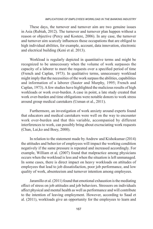These days, the turnover and turnover aim are two genuine issues in Asia (Rubiah, 2012). The turnover and turnover plan happen without a reason or objective (Percy and Kostere, 2006). In any case, the turnover and turnover aim scarcely influences those occupations that are obliged to high individual abilities, for example, account, data innovation, electronic and electrical building (Keni et al. 2013).

Workload is regularly depicted in quantitative terms and might be recognized to be unnecessary when the volume of work surpasses the capacity of a laborer to meet the requests over a specified period of time (French and Caplan, 1973). In qualitative terms, unnecessary workload might imply that the necessities of the work surpass the abilities, capabilities and information of a laborer (Sauter and Murphy, 1995; French and Caplan, 1973). A few studies have highlighted the malicious results of high workloads or work over-burden. A case in point, a late study created that work over-burden and time obligations were notable donors to work stress around group medical caretakers (Usman et al., 2011).

Furthermore, an investigation of work anxiety around experts found that educators and medical caretakers were well on the way to encounter work over-burden and that this variable, accompanied by different interferences to work, can possibly bring about excruciating work requests (Chan, Lai,ko and Boey, 2000).

In relation to the statement made by Andrew and Kishokumar (2014) the attitudes and behavior of employees will impact the working condition negatively if the same pressure is repeated and increased accordingly. For example, William et al. (2007) found that malpractice among physicians occurs when the workload is less and when the situation is left unmanaged. In some cases, there is direct impact on heavy workloads on attitudes of employees that lead to job dissatisfaction, poor job performance, and low quality of work, absenteeism and turnover intention among employees.

Jaramillo et al. (2011) found that emotional exhaustion is the mediating effect of stress on job attitudes and job behaviors. Stressors on individuals affect physical and mental health as well as performance and will contribute to the intention of leaving employment. However, according to Saad et al. (2011), workloads give an opportunity for the employees to learn and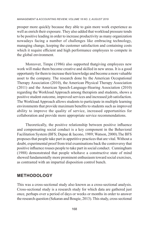prosper more quickly because they able to gain more work experience as well as enrich their exposure. They also added that workload pressure tends to be positive leading in order to increase productivity as many organization nowadays facing a number of challenges like embracing technology, managing change, keeping the customer satisfaction and containing costs which it require efficient and high performance employees to compete in the global environment.

Moreover, Timpe (1986) also supported thatgiving employees new work will make them become creative and skilled in new areas. It is a good opportunity for them to increase their knowledge and become a more valuable asset to the company. The research done by the American Occupational Therapy Association (2010), the American Physical Therapy Association (2011) and the American Speech-Language-Hearing Association (2010) regarding the Workload Approach among therapists and students, shows a positive student outcome, improved services and increased job satisfaction. The Workload Approach allows students to participate in multiple learning environments that provide maximum benefits to students such as improved ability to improve the quality of service, increased opportunities for collaboration and provide more appropriate service recommendations.

Theoretically, the positive relationship between positive influence and compensating social conduct is a key component in the Behavioral Facilitation System (BFS; Depue & Iacono, 1989; Watson, 2000).The BFS proposes that people take part in appetitive practices that are vital. Without a doubt, experimental proof from trial examinations back the controversy that positive influence rouses people to take part in social conduct. Cunningham (1988) demonstrated that people whohave a constructive state of mind showed fundamentally more prominent enthusiasm toward social exercises, as contrasted with an impartial disposition control bunch.

## **METHODOLOGY**

This was a cross-sectional study also known as a cross-sectional analysis. Cross-sectional study is a research study for which data are gathered just once, perhaps over a period of days or weeks or months in order to answer the research question (Sekaran and Bougie, 2013). This study, cross sectional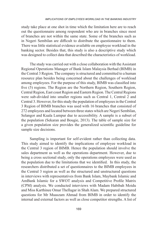study take place at one shot in time which the limitation here are to reach out the questionnaire among respondent who are in branches since most of branches are not within the same state. Some of the branches such as in Negeri Sembilan are difficult to distribute the questionnaire to them. There was little statistical evidence available on employee workload in the banking sector. Besides that, this study is also a descriptive study which was designed to collect data that described the characteristics of workload.

The study was carried out with a close collaboration with the Assistant Regional Operations Manager of Bank Islam Malaysia Berhad (BIMB) in the Central 3 Region. The company is structured and committed to a human resource plan besides being concerned about the challenges of workload among employees. For the purpose of this study, BIMB was classified into five (5) regions. The Region are the Northern Region, Southern Region, Central Region, East coast Region and Eastern Region. The Central Regions were sub-divided into smaller regions such as Central 1, Central 2 and Central 3. However, for this study the population of employees in the Central 3 Region of BIMB branches was used with 16 branches that consisted of 272 employees and located between three states which are Negeri Sembilan, Selangor and Kuala Lumpur due to accessibility. A sample is a subset of the population (Sekaran and Bougie, 2013). The table of sample size for a given population size provides the generalized scientific guideline for sample size decisions.

Sampling is important for self-evident rather than collecting data. This study aimed to identify the implications of employee workload in the Central 3 region of BIMB. Hence the population should involve the sales department as well as the operations department. However, due to being a cross sectional study, only the operations employees were used as the population due to the limitations that we identified. In this study, the researchers distributed a set of questionnaires to the BIMB employees in the Central 3 region as well as the structured and unstructured questions in interviews with representatives from Bank Islam, Maybank Islamic and AmBank Islamic for a SWOT analysis and Competitive Profile Matrix (CPM) analysis. We conducted interviews with Madam Habibah Moidu and Miss Karthinee Omar Thellagar in Shah Alam. We prepared structured questions for Mr Muaszam Ahmad from BIMB in order to identify the internal and external factors as well as close competitor strengths. A list of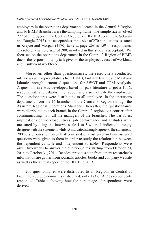employees in the operations departments located in the Central 3 Region and 16 BIMB Branches were the sampling frame. The sample size involved 272 of employees in the Central 3 Region of BIMB. According to Sekaran and Bougie (2013), the acceptable sample size of 270 populations as stated in Krejcie and Morgan (1970) table at page 268 is 159 of respondents. Therefore, a sample size of 200, involved in this study is acceptable. We focussed on the operations department in the Central 3 Region of BIMB due to the responsibility by task given to the employees caused of workload and insufficient workforce.

Moreover, other than questionnaires, the researchers conducted interviews with representatives from BIMB, AmBank Islamic and Maybank Islamic through structured questions for SWOT and CPM Analysis. A questionnaire was developed based on past literature to get a 100% response rate and establish the rapport and also motivate the employees. The questionnaires were distributing to all employees in the operations department from the 16 branches of the Central 3 Region through the Assistant Regional Operations Manager. Thereafter, the questionnaires were distributed to each branch in the Central 3 regions via courier after communicating with all the managers of the branches. The variables, implications of workload, stress, job performance and attitudes were measured by using the interval scale 1 to 5 where 1 indicated strongly disagree with the statement whilst 5 indicated strongly agree to the statement. 200 sets of questionnaires that consisted of structured and unstructured questions were given to them in order to study the relationship between the dependent variable and independent variables. Respondents were given two weeks to answer the questionnaires starting from October 20, 2014 to October 31, 2014. Besides, previous data from others researcher's information are gather from journals, articles, books and company website as well as the annual report of the BIMB in 2013.

200 questionnaires were distributed to all Regions in Central 3. From the 200 questionnaires distributed, only 183 or 91.5% respondents responded. Table 1 showing how the percentage of respondents were derived.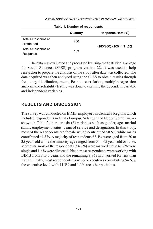|                                           | Quantity | Response Rate (%)               |
|-------------------------------------------|----------|---------------------------------|
| <b>Total Questionnaire</b><br>Distributed | 200      |                                 |
| <b>Total Questionnaire</b><br>Response    | 183      | $(183/200)$ x100 = <b>91.5%</b> |

**Table 1: Number of respondents**

The data was evaluated and processed by using the Statistical Package for Social Sciences (SPSS) program version 22. It was used to help researcher to prepare the analysis of the study after data was collected. The data acquired was then analyzed using the SPSS to obtain results through frequency distribution, mean, Pearson correlation, multiple regression analysis and reliability testing was done to examine the dependent variable and independent variables.

## **RESULTS AND DISCUSSION**

The survey was conducted on BIMB employees in Central 3 Regions which included respondents in Kuala Lumpur, Selangor and Negeri Sembilan. As shown in Table 2, there are six (6) variables such as gender, age, marital status, employment status, years of service and designation. In this study, most of the respondents are female which contributed 58.5% while males contributed 41.5%. A majority of respondents 63.4% were aged from 20 to 35 years old while the minority age ranged from 51 – 65 years old or 4.4%. Moreover, most of the respondents (54.6%) were married while 43.7% were single and 1.6% were divorced. Next, most respondents were working with BIMB from 3 to 5 years and the remaining 9.8% had worked for less than 1 year. Finally, most respondents were non-executives contributing 54.6%, the executive level with 44.3% and 1.1% are other positions.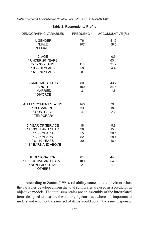| DEMOGRAPHIC VARIABLES FREQUENCY ACCUMULATIVE (%)                                                                      |                                |                                     |
|-----------------------------------------------------------------------------------------------------------------------|--------------------------------|-------------------------------------|
| 1. GENDER<br>*MALE<br>*FEMALE                                                                                         | 76<br>107                      | 41.5<br>58.5                        |
| 2. AGE<br>* UNDER 20 YEARS<br>*20 - 35 YEARS<br>* 36 - 50 YEARS<br>* 51 - 65 YEARS                                    | $\mathbf{1}$<br>116<br>58<br>8 | 0.5<br>63.4<br>31.7<br>4.4          |
| 3. MARITAL STATUS<br>*SINGLE<br>* MARRIED<br>* DIVORCE                                                                | 80<br>100<br>3                 | 43.7<br>54.6<br>1.6                 |
| 4. EMPLOYMENT STATUS<br>* PERMANENT<br>* CONTRACT<br>* TEMPORARY                                                      | 146<br>33<br>$\overline{4}$    | 79.8<br>18.0<br>2.2                 |
| 5. YEAR OF SERVICE<br>* LESS THAN 1 YEAR<br>* 1 - 2 YEARS<br>* 3 - 5 YEARS<br>$*6 - 10$ YEARS<br>* 11 YEARS AND ABOVE | 18<br>28<br>55<br>52<br>30     | 9.8<br>15.3<br>30.1<br>28.4<br>16.4 |
| 6. DESIGNATION<br>* EXECUTIVE AND ABOVE<br>* NON-EXECUTIVE<br>* OTHERS                                                | 81<br>100<br>$\overline{2}$    | 44.3<br>54.6<br>1.1                 |

**Table 2: Respondents Profile**

According to Santos (1994), reliability comes to the forefront when the variables developed from the total sum scales are used as a predictor in objective models. The total sum scales are an assembly of the interrelated items designed to measure the underlying construct where it is important to understand whether the same set of items would obtain the same responses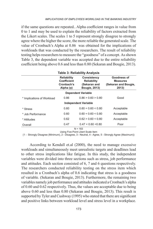if the same questions are repeated.. Alpha coefficient ranges in value from 0 to 1 and may be used to explain the reliability of factors extracted from the Likert scales. The scales 1 to 5 represent strongly disagree to strongly agree where the higher the score, the more reliable the generated scale. The value of Cronbach's Alpha at 0.86 was obtained for the implications of workloads that was conducted by the researchers. The result of reliability testing helps researchers to measure the "goodness" of a concept. As shown Table 3, the dependent variable was accepted due to the entire reliability coefficient being above 0.6 and less than 0.80 (Sekaran and Bougie, 2013).

| <b>Table 3: Reliability Analysis</b>                                       |                                                                           |                                                                 |  |  |  |  |  |
|----------------------------------------------------------------------------|---------------------------------------------------------------------------|-----------------------------------------------------------------|--|--|--|--|--|
| <b>Reliability</b><br><b>Coefficient</b><br>Cronbach's<br>Alpha $(\alpha)$ | Consistency<br><b>Reliability</b><br>(Sekaran and<br><b>Bougie, 2013)</b> | Goodness of<br><b>Measures</b><br>(Sekaran and Bougie,<br>2013) |  |  |  |  |  |
| <b>Dependent Variable</b>                                                  |                                                                           |                                                                 |  |  |  |  |  |
| 0.86                                                                       | 0.86 > 0.60 > 0.80                                                        | Good                                                            |  |  |  |  |  |
|                                                                            |                                                                           |                                                                 |  |  |  |  |  |
| 0.60                                                                       | $0.60 = 0.60 \le 0.80$                                                    | Acceptable                                                      |  |  |  |  |  |
| 0.60                                                                       | $0.60 = 0.60 \le 0.80$                                                    | Acceptable                                                      |  |  |  |  |  |
| 0.62                                                                       | 0.62 > 0.60 < 0.80                                                        | Acceptable                                                      |  |  |  |  |  |
| 0.47                                                                       | 0.47 < 0.60 < 0.80                                                        | Poor                                                            |  |  |  |  |  |
|                                                                            |                                                                           | <b>Independent Variable</b><br>$\cdots$                         |  |  |  |  |  |

N = 183

Using Five Point Likert Scale Item

(1 - Strongly Disagree (Minimum), 2 - Disagree, 3 - Neutral, 4 - Agree, 5 - Strongly Agree (Maximum))

According to Kendall et.al (2000), the need to manage excessive workloads and simultaneously meet unrealistic targets and deadlines lead to other stress implications like fatigue. In this study, the independent variables were divided into three sections such as stress, job performance and attitudes. Each section consisted of 6, 7 and 6 questions respectively. The researchers conducted reliability testing on the stress item which resulted in a Cronbach's alpha of 0.6 indicating that stress is a goodness of variable. (Sekaran and Bougie, 2013). Furthermore, the remaining two variables namely job performance and attitudes indicated a Cronbach's alpha of 0.60 and 0.62 respectively. Thus, the values are acceptable due to being above 0.60 and less than 0.80 (Sekaran and Bougie, 2013). This result is supported by Tyler and Cushway (1995) who stated that there are significant and positive links between workload level and stress level in a workplace.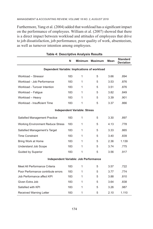Furthermore, Yang et al. (2004) added that workload has a significant impact on the performance of employees. William et al. (2007) showed that there is a direct impact between workload and attitudes of employees that drive to job dissatisfaction, job performance, poor quality of work, absenteeism, as well as turnover intention among employees.

| <b>Table 4: Descriptive Analysis Results</b> |     |                                     |                |      |                              |
|----------------------------------------------|-----|-------------------------------------|----------------|------|------------------------------|
|                                              | N   | <b>Minimum</b>                      | <b>Maximum</b> | Mean | Standard<br><b>Deviation</b> |
| Dependent Variable: Implications of workload |     |                                     |                |      |                              |
| Workload - Stressor                          | 183 | 1                                   | 5              | 3.66 | .894                         |
| Workload - Job Performance                   | 183 | 1                                   | 5              | 3.53 | .876                         |
| Workload - Turover Intention                 | 183 | 1                                   | 5              | 3.51 | .876                         |
| Workload - Fatique                           | 183 | 1                                   | 5              | 3.82 | .849                         |
| Workload - Heavy                             | 183 | 1                                   | 5              | 3.39 | .901                         |
| Workload - Insufficient Time                 | 183 | 1                                   | 5              | 3.37 | .866                         |
|                                              |     | <b>Independent Variable: Stress</b> |                |      |                              |
| <b>Satisfied Management Practice</b>         | 183 | 1                                   | 5              | 3.30 | .897                         |
| <b>Working Environment Reduce Stress</b>     | 183 | 1                                   | 5              | 4.13 | .778                         |
| Satisfied Management's Target                | 183 | 1                                   | 5              | 3.33 | .865                         |
| <b>Time Constraint</b>                       | 183 | 1                                   | 5              | 3.40 | .839                         |
| Bring Work at Home                           | 183 | 1                                   | 5              | 2.36 | 1.139                        |
| <b>Understand Job Scope</b>                  | 183 | 1                                   | 5              | 3.74 | .775                         |
| <b>Guided by Superior</b>                    | 183 | 1                                   | 5              | 3.56 | .917                         |
| Independent Variable: Job Performance        |     |                                     |                |      |                              |
| Meet All Performance Criteria                | 183 | 1                                   | 5              | 3.57 | .722                         |
| Poor Performance contribute errors           | 183 | 1                                   | 5              | 3.77 | .774                         |
| Job Performance affect KPI                   | 183 | 1                                   | 5              | 3.88 | .810                         |
| Given Extra Job                              | 183 | 1                                   | 5              | 3.64 | .838                         |
| Satisfied with KPI                           | 183 | 1                                   | 5              | 3.26 | .987                         |
| <b>Received Warning Letter</b>               | 183 | 1                                   | 5              | 2.10 | 1.110                        |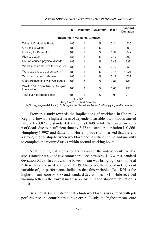|                                           | N   | Minimum                                | <b>Maximum</b> | Mean | <b>Standard</b><br><b>Deviation</b> |
|-------------------------------------------|-----|----------------------------------------|----------------|------|-------------------------------------|
|                                           |     | <b>Independent Variable: Attitudes</b> |                |      |                                     |
| Taking MC Monthly Basis                   | 183 | 1                                      | 5              | 2.24 | 1.036                               |
| On Time to Office                         | 183 | 1                                      | 5              | 3.78 | .893                                |
| Looking for Better Job                    | 183 | 1                                      | 5              | 3.52 | 1.042                               |
| Plan to Leave                             | 183 | 1                                      | 5              | 3.17 | .999                                |
| My Job caused physical disorder           | 183 | 1                                      | 5              | 3.49 | .937                                |
| Work Pressure Caused to Leave Job         | 183 | 1                                      | 5              | 3.42 | .951                                |
| Workload caused absenteeism               | 183 | 1                                      | 5              | 3.15 | 1.021                               |
| Workload caused Lateness                  | 183 | 1                                      | 5              | 3.17 | 1.032                               |
| Good Relationship with Colleague          | 183 | $\mathcal{P}$                          | 5              | 4.02 | .703                                |
| Workload opportunity to gain<br>knowledge | 183 | $\mathcal{P}$                          | 5              | 3.83 | .793                                |
| Take over colleague's task                | 183 | 1                                      | 5              | 3.99 | .719                                |

*IMPLICATIONS OF EMPLOYEES WORKLOAD IN THE BANKING INDUSTRY*

 $N = 183$ Using Five Point Likert Scale Item

(1- Stronglyisagree (Minimum), 2 - Disagree, 3 - Neutral, 4 - Agree, 5 - Strongly Agree (Maximum))

From this study towards the implications of workload in Central 3 Regions shown the highest mean of dependent variable is workloads caused fatigue by 3.82 and standard deviation is 0.849, while the lowest mean is workloads due to insufficient time by 3.37 and standard deviation is 0.866. Humphrey (1998) and Sauter and Hurrell (1999) summarized that there is a strong relationship between workload and insufficient time and inability to complete the required tasks within normal working hours.

Next, the highest scores for the mean for the independent variable stress stated that a good environment reduces stress by 4.13 with a standard deviation 0.778. In contrast, the lowest mean was bringing work home at 2.36 with a standard deviation of 1.139. Moreover, the second independent variable of job performance indicates that this variable affect KPI is the highest mean score by 3.88 and standard deviation is 0.810 while received warning letter is the lowest mean score by 2.10 and standard deviation is 1.110.

Sarah et al. (2011) stated that a high workload is associated with job performance and contributes to high errors. Lastly, the highest mean score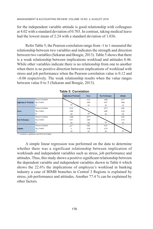for the independent variable attitude is good relationship with colleagues at 4.02 with a standard deviation of 0.703. In contrast, taking medical leave had the lowest mean of 2.24 with a standard deviation of 1.036.

Refer Table 5, the Pearson correlation range from -1 to 1 measured the relationship between two variables and indicates the strength and direction between two variables (Sekaran and Bougie, 2013). Table 5 shows that there is a weak relationship between implications workload and attitudes 0.46. While other variables indicate there is no relationship from one to another when there is no positive direction between implications of workload with stress and job performance when the Pearson correlation value is 0.12 and -.0.06 respectively. The weak relationship results when the value ranges between value 0 to 5 (Sekaran and Bougie, 2013).

|                                |                     | <b>Implication of Workload</b> | <b>Stress</b> | <b>Poor Performance</b> | <b>Attitudes</b> |
|--------------------------------|---------------------|--------------------------------|---------------|-------------------------|------------------|
|                                | Pearson Correlation |                                | 0.123         | $-0.006$                | .457**           |
| <b>Implication of Workload</b> | Sig. (2-tailed)     |                                | 0.098         | 0.937                   | 0.000            |
|                                | N                   | 183                            | 183           | 183                     | 183              |
|                                | Pearson Correlation | 0.123                          |               | $.347**$                | 0.063            |
| <b>Stress</b>                  | Sig. (2-tailed)     | 0.098                          |               | 0.000                   | 0.394            |
|                                | N                   | 183                            | 183           | 183                     | 183              |
|                                | Pearson Correlation | $-0.006$                       | $.347**$      |                         | 0.102            |
| <b>Poor Performance</b>        | Sig. (2-tailed)     | 0.937                          | 0,000         |                         | 0.170            |
|                                | N                   | 183                            | 183           | 183                     | 183              |
|                                | Pearson Correlation | $.457***$                      | 0.063         | 0.102                   |                  |
| <b>Attitudes</b>               | Sig. (2-tailed)     | $\theta$                       | 0.394         | 0.170                   |                  |
|                                | N                   | 183                            | 183           | 183                     | 183              |

|  |  | <b>Table 5: Correlation</b> |  |
|--|--|-----------------------------|--|
|--|--|-----------------------------|--|

\*\*. Correlation is significant at the 0.01 level (2-tailed).

A simple linear regression was performed on the data to determine whether there was a significant relationship between implication of workloads and independent variables such as stress, job performance and attitudes. Thus, this study shows a positive significant relationship between the dependent variable and independent variables shown in Table 6 which shows the 22.6% the implications of employee's workload in banking industry a case of BIMB branches in Central 3 Regions is explained by stress, job performance and attitudes. Another 77.4 % can be explained by other factors.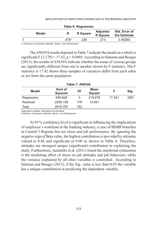| $1.4710$ $3.11091$ |      |                 |                                    |                               |  |
|--------------------|------|-----------------|------------------------------------|-------------------------------|--|
| Model              |      | <b>R</b> Square | <b>Adjusted</b><br><b>R</b> Square | Std. Error of<br>the Estimate |  |
|                    | 475a | 226             | .213                               | 3.55260                       |  |

## **Table 6: Regression**

a. Predictors: (Constant), Attitudes, Stress, Job Performance

The ANOVA results depicted in Table 7 indicate the model as a whole is significant F  $(3,179) = 17.42$ ,  $p < 0.0005$ . According to Sekaran and Bougie (2013), the results of ANOVA indicate whether the mean of various groups are significantly different from one to another shown by F statistics. The F statistics is 17.42 shows three samples of variances differ from each other or are form the same population.

| Table T. ANOVA |                          |     |                       |        |                   |  |
|----------------|--------------------------|-----|-----------------------|--------|-------------------|--|
| <b>Model</b>   | Sum of<br><b>Squares</b> | Df  | Mean<br><b>Square</b> |        | Sig.              |  |
| Regression     | 659.628                  | 3   | 219.876               | 17.421 | .000 <sup>b</sup> |  |
| Residual       | 2259.159                 | 179 | 12.621                |        |                   |  |
| Total          | 2918.787                 | 182 |                       |        |                   |  |

## **Table 7: ANOVA**

Dependent Variable: Implications of Workload

Predictors: (Constant), Attitudes, Stress, Job Performance

At 95 % confidence level is significant in influencing the implications of employee's workload in the banking industry, a case of BIMB branches in Central 3 Regions but not stress and job performance. By ignoring the negative sign of Beta value, the highest contribution is provided by attitudes valued at 0.46 and significant at 0.00 as shown in Table 8. Therefore, attitudes are strongest unique (significant) contribution in explaining the study. Furthermore, Jaramillo et al. (2011) found the emotional exhaustion is the mediating effect of stress on job attitudes and job behaviors, while the variance explained by all other variables is controlled. According to Sekaran and Bougie (2013), if the Sig. value is less than 0.05 the variable has a unique contribution in predicting the dependent variable.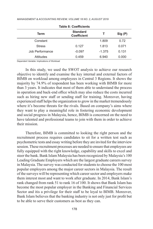| Term            | <b>Standard</b><br><b>Coefficient</b> |          | Sig (P) |
|-----------------|---------------------------------------|----------|---------|
| Constant        |                                       | 1.809    | 0.72    |
| <b>Stress</b>   | 0.127                                 | 1.813    | 0.071   |
| Job Performance | $-0.097$                              | $-1.375$ | 0.131   |
| Attitudes       | 0.459                                 | 6.940    | 0.000   |

Dependent Variable: Implications of Workload

In this study, we used the SWOT analysis to achieve our research objective to identify and examine the key internal and external factors of BIMB on workload among employees in Central 3 Regions. It shows the majority by 74.9% of respondent has been working with BIMB for more than 3 years. It indicates that most of them able to understand the process in operation and back-end office which may also reduce the costs incurred such as hiring new staff or sending staff for training. Moreover, having experienced staff helps the organization to grow in the market tremendously where it's become threats for the rivals. Based on company's aims where they want to play a meaningful role in fostering economic development and social progress in Malaysia, hence, BIMB is concerned on the need to have talented and professional teams to join with them in order to achieve their mission.

Therefore, BIMB is committed to looking the right person and the recruitment process requires candidates to sit for a written test such as psychometric tests and essay writing before they are invited for the interview session. These recruitment processes are needed to ensure that employees are fully equipped with the right knowledge, capability and skills to excel and steer the bank. Bank Islam Malaysia has been recognized by Malaysia's 100 Leading Graduate Employers which are the largest graduate careers survey in Malaysia. The survey was conducted for students to choose the 100 most popular employers among the major career sectors in Malaysia. The result of the surveys will be representing which career sector and employers make them interest most and want to work after graduate. In 2014, Bank Islam's rank changed from rank 51 to rank 16 of 100. It shows that Bank Islam has become the most popular employer in the Banking and Financial Services Sector and itis a privilege for their staff to be loyal to BIMB. Moreover, Bank Islam believes that the banking industry is not only just for profit but to be able to serve their customers as best as they can.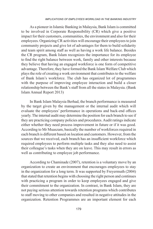As a pioneer in Islamic Banking in Malaysia, Bank Islam is committed to be involved in Corporate Responsibility (CR) which give a positive impact for their customers, communities, the environment and also for their employees. Organizing CR activities will encourage their employees to join community projects and give lot of advantages for them to build solidarity and team spirit among staff as well as having a work life balance. Besides the CR program, Bank Islam recognizes the importance for its employee to find the right balance between work, family and other interests because they believe that having an engaged workforce is one form of competitive advantage. Therefore, they have formed the Bank Islam Welfare Club which plays the role of creating a work environment that contributes to the welfare of Bank Islam's workforce. The club has organized lot of programmes with the purpose of improving employee interaction and build a closer relationship between the Bank's staff from all the states in Malaysia. (Bank Islam Annual Report 2013)

In Bank Islam Malaysia Berhad, the branch performance is measured by the target given by the management or the internal audit which will evaluate the employees' performance in operations and back-end offices yearly. The internal audit may determine the position for each branch to see if they are practicing company policies and procedures. Audit ratings indicate either whether they need process improvement in future or if it was good. According to Mr Muaszam, basically the number of workforces required in each branch is different based on location and customers. However, from the sources that we received, each branch has an insufficient workforce which required employees to perform multiple tasks and they also need to assist their colleague's tasks when they are on leave. This may result in errors as well as contributing to employee job performance.

According to Chaminade (2007), retention is a voluntary move by an organization to create an environment that encourages employees to stay in the organization for a long term. It was supported by Freyermuth (2004) that stated that retention begins with choosing the right person and continues with practicing a program in order to keep employees engaged and give their commitment to the organization. In contrast, in Bank Islam, they are not paying serious attention towards retention programs which contributes to staff moving to other companies and resulted in negative attitudes in the organization. Retention Programmes are an important element for each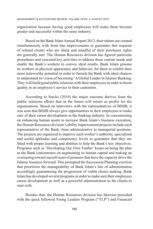organization because having good employees will make them become greater and successful within the same industry.

Based on the Bank Islam Annual Report 2013, their talents are created simultaneously with front line improvements to guarantee that requests of refined clients who are sharp and mindful of their purchaser rights are generally met. The Human Resources division has figured particular procedures and executed key activities to address these current needs and enable the Bank's workers to convey ideal results. Bank Islam grooms its workers in physical appearance and behavior, for them to exhibit their more noteworthy potential in order to furnish the Bank with ideal chances to understand its vision of becoming 'A Global Leader in Islamic Banking. They will build good public relations with their employees in order to boost quality in an employee's service to their customers.

According to Stacks (2010) the major outcome derives from the public relations efforts that in the future will return as profits for the organizations. Based on interviews with the representatives of BIMB, it was seen that BIMB always give opportunities to their employees to make sure of their career development in the banking industry. In concentrating on enhancing human assets to increase Bank Islam's business execution, the Human Resources division's ability improvement projects include each representative of the Bank, from administrative to managerial positions. The projects are organized to improve each worker's authority, specialized and useful aptitudes and competency levels to guarantee that they are fitted with proper learning and abilities to help the Bank's key objectives. Programs such as 'Developing Our Own Timber' keeps on being the plan as the Bank concentrates on augmenting its human capital and making an overseeing toward oneself asset of pioneers that have the capacity drive the Islamic business forward. This prompted the Succession Planning exertion that prioritizes the manageability of Bank Islam's line of administration accordingly guaranteeing the progression of viable choice making. Bank Islam has developed several programs in order to make sure their employees career development as well as a powerful administration to the clients to start with.

Besides that, the Human Resources division has likewise preceded with the quick followed Young Leaders Program ("YLP") and Financial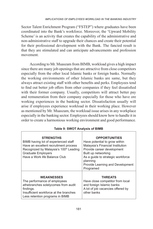Sector Talent Enrichment Program ("FSTEP") where graduates have been coordinated into the Bank's workforce. Moreover, the 'Upward Mobility Scheme' is an activity that creates the capability of the administrative and non-administrative staff to upgrade their chances and create their potential for their professional development with the Bank. The fancied result is that they are stimulated and can anticipate advancements and profession movement.

According to Mr. Muaszam from BIMB, workload gives a high impact since there are many job openings that are attractive from close competitors especially from the other local Islamic banks or foreign banks. Normally the working environments of other Islamic banks are same, but they always attract existing staff with other benefits and perks. Employees tend to find out better job offers from other companies if they feel dissatisfied with their former company. Usually, competitors will attract better pay and remuneration from their company especially for those who have ore working experiences in the banking sector. Dissatisfaction usually will arise if employees experience workload in their working place. However as mentioned by Mr. Muaszam, the workload issue arises in any workplace especially in the banking sector. Employees should know how to handle it in order to create a harmonious working environment and good performance.

| <b>STRENGTHS</b><br>BIMB having lot of experienced staff<br>Have an excellent recruitment process<br>Recognized by Malaysia's 100 <sup>th</sup> Leading<br><b>Graduate Employers</b><br>Have a Work life Balance Club | <b>OPPORTUNITIES</b><br>Have potential to grow within<br>Malaysia's Financial Institution<br>Provide career development<br>Built up networking<br>As a guide to strategic workforce<br>planning<br>Provide Learning and Development<br>Programed |
|-----------------------------------------------------------------------------------------------------------------------------------------------------------------------------------------------------------------------|--------------------------------------------------------------------------------------------------------------------------------------------------------------------------------------------------------------------------------------------------|
| <b>WEAKNESSES</b><br>The performance of employees<br>athebranches solelycomes from audit<br>findings.<br>Insufficient workforce at the branches<br>Less retention programs in BIMB                                    | <b>THREATS</b><br>Have close competitor from local<br>and foreign Islamic banks<br>A lot of job vacancies offered by<br>other banks                                                                                                              |

**Table 9: SWOT Analysis of BIMB**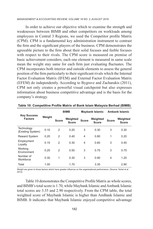In order to achieve our objective which to examine the strength and weaknesses between BIMB and other competitors on workloads among employees in Central 3 Regions, we used the Competitor profile Matrix (CPM). CPM is a fundamental key administration instrument to contrast the firm and the significant players of the business. CPM demonstrates the agreeable picture to the firm about their solid focuses and feeble focuses with respect to their rivals. The CPM score is measured on premise of basic achievement considers; each one element is measured in same scale mean the weight stay same for each firm just evaluating fluctuates. The CPM incorporates both interior and outside elements to assess the general position of the firm particularly to their significant rivals which the Internal Factor Evaluation Matrix (IFEM) and External Factor Evaluation Matrix (EFEM) do independently. According to Bygrave and Zacharakis (2011), CPM not only creates a powerful visual catchpoint but also expresses information about business competitive advantage and is the basis for the company's strategy.

| <b>Key Success</b><br><b>Factors</b> | Weight | <b>BIMB</b>    |                          | <b>Maybank Islamic</b> |                          | <b>Ambank Islamic</b> |                          |
|--------------------------------------|--------|----------------|--------------------------|------------------------|--------------------------|-----------------------|--------------------------|
|                                      |        | <b>Score</b>   | Weighted<br><b>Score</b> | <b>Score</b>           | Weighted<br><b>Score</b> | <b>Score</b>          | Weighted<br><b>Score</b> |
| Technology<br>(Existing System)      | 0.10   | 2              | 0.20                     | 3                      | 0.30                     | 3                     | 0.30                     |
| <b>Reward System</b>                 | 0.20   | $\overline{2}$ | 0.40                     | 4                      | 0.80                     | 1                     | 0.20                     |
| Employment<br>Loyalty                | 0.15   | 2              | 0.30                     | 4                      | 0.60                     | 3                     | 0.45                     |
| Working<br><b>Fnvironment</b>        | 0.25   | 2              | 0.50                     | 3                      | 0.75                     | 3                     | 0.75                     |
| Number of<br>Workforce               | 0.30   | 1              | 0.30                     | 3                      | 0.90                     | 4                     | 1.20                     |
| Total                                | 1.00   |                | 1.70                     |                        | 3.35                     |                       | 2.90                     |

**Table 10: Competitive Profile Matrix of Bank Islam Malaysia Berhad (BIMB)**

Weight are given to those factors which have greater influence on the organizational performance. (Source: Sohel et al 2014)

Table 10 demonstrates the Competitive Profile Matrix as whole scores, and BIMB's total score is 1.70, while Maybank Islamic and Ambank Islamic total scores are 3.35 and 2.90 respectively. From the CPM table, the total weighted score of Maybank Islamic is higher than AmBank Islamic and BIMB. It indicates that Maybank Islamic enjoyed competitive advantage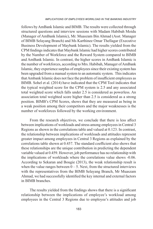follows by AmBank Islamic and BIMB. The results were collected through structured questions and interview sessions with Madam Habibah Moidu (Manager of AmBank Islamic), Mr. Muaszam Bin Ahmad (Asst. Manager of BIMB Selayang Branch) and Ms Karthinee Omar Thellagar (Executive Business Development of Maybank Islamic). The results yielded from the CPM findings indicates that Maybank Islamic had higher scores contributed by the Number of Workforce and the Reward System compared to BIMB and AmBank Islamic. In contrast, the higher scores in AmBank Islamic is the number of workforces, according to Mrs. Habibah, Manager of AmBank Islamic, they experience surplus of employees since their existing system has been upgraded from a manual system to an automatic system. This indicates that Ambank Islamic does not face the problem of insufficient employees as BIMB. Sohel et al. (2014) have indicated that the CPM Tool indicates that the typical weighted score for the CPM system is 2.5 and any associated total weighted score which falls under 2.5 is considered as powerless. An association total weighted score higher than 2.5 is considered as a strong position. BIMB's CPM Scores, shows that they are measured as being in a weak position among their competitors and the major weaknesses is the number of workforces followed by the working environment.

From the research objectives, we conclude that there is less affect between implications of workloads and stress among employees in Central 3 Regions as shown in the correlations table and valued at 0.123. In contrast, the relationship between implications of workloads and attitudes represent greater impact among employees in Central 3 Regions as explained by the correlations table shown at 0.457. The standard coefficient also shows that these relationships are the unique contribution in predicting the dependent variable valued at 0.459. However, job performance has no relationship with the implications of workloads where the correlations value shows -0.06. According to Sekaran and Bougie (2013), the weak relationship result is when the value ranges between  $0 - 5$ . Next, from the structured interviews with the representatives from the BIMB Selayang Branch, Mr Muaszam Ahmad, we had successfully identified the key internal and external factors in BIMB branches.

The results yielded from the findings shows that there is a significant relationship between the implications of employee's workload among employees in the Central 3 Regions due to employee's attitudes and job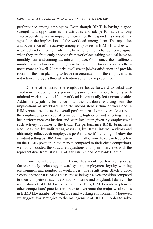performance among employees. Even though BIMB is having a good strength and opportunities the attitudes and job performance among employees still gives an impact to them since the respondents consistently agreed on the implications of the workload among them. The repetition and occurrence of the activity among employees in BIMB Branches will negatively reflect to them when the behavior of them change from original when they are frequently absence from workplace, taking medical leave on monthly basis and coming late into workplace. For instance, the insufficient number of workforces is forcing them to do multiple tasks and causes them not to manage it well. Ultimately it will create job dissatisfaction and provide room for them in planning to leave the organization if the employer does not retain employers through retention activities or programs.

On the other hand, the employee looks forward to substitute employment opportunities providing same or even more benefits with minimal work activities if the workload is continually left unmanageable. Additionally, job performance is another attribute resulting from the implications of workload since the inconsistent setting of workload in BIMB branches affects the overall performance of employees. As a result, the employees perceived of contributing high error and affecting his or her performance evaluation and warning letter given by employers if such activity is riskier to the Bank. The performance BIMB branches is also measured by audit rating assessing by BIMB internal auditors and ultimately reflect each employee's performance if the rating is below the standard setting by BIMB management. Finally, from the research objective on the BIMB position in the market compared to their close competitors, we had conducted the structured questions and open interviews with the representative from BIMB, AmBank Islamic and Maybank Islamic.

From the interviews with them, they identified five key success factors namely technology, reward system, employment loyalty, working environment and number of workforces. The result from BIMB's CPM Scores, shows that BIMB is measured as being in a weak position compared to their competitors such as Ambank Islamic and Maybank Islamic. The result shows that BIMB is its competitors. Thus, BIMB should implement other competitors' practices in order to overcome the major weaknesses in BIMB like number of workforce and working environment. Moreover, we suggest few strategies to the management of BIMB in order to solve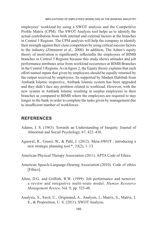employees' workload by using a SWOT analysis and the Competitive Profile Matrix (CPM). The SWOT Analysis tool helps us to identify the actual contribution from both internal and external factors at the branches in Central 3 Regions. The CPM analysis will help the company to identify their strength against their close competitors by using critical success factors to the industry (Zimmerer et al., 2008). In addition, The Adam's equity theory of motivation is significantly reflectedin the employees of BIMB branches in Central 3 Regions because this study shows attitudes and job performance attributes arise from workload occurrence at BIMB Branches in the Central 3 Regions. As in figure 2, the Equity theory explains that each effort named inputs that given by employees should be equally returned by the output received by employees. Its supported by Madam Habibah from Ambank Islamic respective, Ambank Islamic system has been upgraded and they didn't face any problem related to workload. However, with the new system in Ambank Islamic resulting in surplus employees in their branches as compared to BIMB where the employees are required to stay longer in the bank in order to complete the tasks given by management due to insufficient number of workforces.

## **REFERENCES**

- Adams, J. S. (1963). Towards an Understanding of Inequity. Journal of Abnormal and Social Psychology, 67, 422–436.
- Agarwal, R., Grassl, W., & Pahl, J. (2012). Meta-SWOT : introducing a new strategic planning tool \*, *33*(2), 1–13.
- American Physical Therapy Association (2011). APTA Code of Ethics.
- American Speech-Language-Hearing Association (2010). Code of ethics [Ethics].
- Allen, D.G. and Griffeth, R.W. (1999). Job performance and turnover: a review and integrative multi-route model. *Human Resource Management Review,* Vol. 9, pp. 525-48.
- Analysis, S., Swot, U., Originated, A., Analysis, I., Matrix, S., Matrix, I. E., & Proposition, U. S. (2011). SWOT Analysis.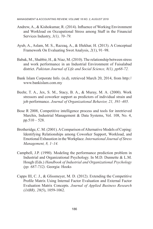- Andrew, A., & Kishokumar, R. (2014). Influence of Working Environment and Workload on Occupational Stress among Staff in the Financial Services Industry, *3(1), 70–79.*
- Ayub, A., Aslam, M. S., Razzaq, A., & Iftekhar, H. (2013). A Conceptual Framework On Evaluating Swot Analysis, *2*(1), 91–98.
- Babak, M., Shabbir, H., & Niaz, M. (2010). The relationship between stress and work performance in an Industrial Environment of Faisalabad district. *Pakistan Journal of Life and Social Science, 8(1), pp68-72.*
- Bank Islam Corporate Info. (n.d), retrieved March 20, 2014, from http:// www.bankislam.com.my
- Beehr, T. A., Jex, S. M., Stacy, B. A., & Muray, M. A. (2000). Work stressors and coworker support as predictors of individual strain and job performance. *Journal of Organizational Behavior, 21, 391–405.*
- Bose R 2008, Competitive intelligence process and tools for inretrieved Marchis, Industrial Management & Data Systems, Vol. 108, No. 4, pp.510 – 528.
- Brotheridge, C. M. (2001). A Comparison of Alternative Models of Coping: Identifying Relationships among Coworker Support, Workload, and Emotional Exhaustion in the Workplace. *International Journal of Stress Management, 8, 1–14.*
- Campbell, J.P. (1990). Modeling the performance prediction problem in Industrial and Organizational Psychology. In M.D. Dunnette & L.M. Hough (Eds.) *Handbook of Industrial and Organizational Psychology (pp. 687-732).* Georgia: Hooks
- Capps III, C. J., & Glissmeyer, M. D. (2012). Extending the Competitive Profile Matrix Using Internal Factor Evaluation and External Factor Evaluation Matrix Concepts. *Journal of Applied Business Research (JABR), 28*(5), 1059-1062.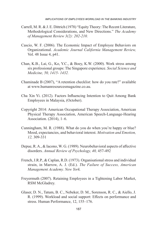- Carrell, M. R. & J. E. Dittrich (1978) "Equity Theory: The Recent Literature, Methodological Considerations, and New Directions." *The Academy of Management Review 3(2): 202-210.*
- Cascio, W. F. (2006). The Economic Impact of Employee Behaviors on Organizational. *Academic Journal California Management Review,* Vol. 48 Issue 4, p41.
- Chan, K.B., Lai, G., Ko, Y.C., & Boey, K.W. (2000). Work stress among six professional groups: The Singapore experience. *Social Science and Medicine, 50, 1415- 1432.*
- Chaminade B (2007), "A retention checklist: how do you rate?" available at www.humanresourcesmagazine.co.au.
- Cha Xin Yi. (2012). Factors Influencing Intention to Quit Among Bank Employees in Malaysia, (October).
- Copyright 2014: American Occupational Therapy Association, American Physical Therapy Association, American Speech-Language-Hearing Association. (2014), 1–6.
- Cunningham, M. R. (1988). What do you do when you're happy or blue? Mood, expectancies, and behavioral interest. *Motivation and Emotion, 12,* 309-331
- Depue, R. A., & Iacono, W. G. (1989). Neurobehavioral aspects of affective disorders. *Annual Review of Psychology, 40,* 457-492
- French, J.R.P., & Caplan, R.D. (1973). Organisational stress and individual strain, in Marrow, A. J. (Ed.). *The Failure of Success, American Management Academy. New York.*
- Freyermuth (2007). Retaining Employees in a Tightening Labor Market, RSM McGladrey.
- Glaser, D. N., Tatum, B. C., Nebeker, D. M., Sorenson, R. C., & Aiello, J. R. (1999). Workload and social support: Effects on performance and stress. Human Performance, 12, 155–176.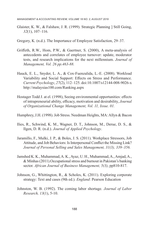- Glaister, K. W., & Falshaw, J. R. (1999). Strategic Planning ] Still Going, *32*(1), 107–116.
- Gregory, K. (n.d.). The Importance of Employee Satisfaction, 29–37.
- Griffeth, R.W., Hom, P.W., & Gaertner, S. (2000), A meta-analysis of antecedents and correlates of employee turnover: update, moderator tests, and research implications for the next millennium. *Journal of Management, Vol. 26 pp.463-88.*
- Hauck, E. L., Snyder, L. A., & Cox-Fuenzalida, L.-E. (2008). Workload Variability and Social Support: Effects on Stress and Performance. *Current Psychology*, *27*(2), 112–125. doi:10.1007/s12144-008-9026-x http://malaysias100.com/Ranking.aspx
- Hostager Todd J. at el. (1998), Seeing environmental opportunities: effects of intrapreneurial ability, efficacy, motivation and desirability, *Journal of Organizational Change Management, Vol. 11, Issue. 01.*
- Humphrey, J.H. (1998). Job Stress. Needman Heights, MA: Allyn & Bacon
- Ilies, R., Schwind, K. M., Wagner, D. T., Johnson, M., Derue, D. S., & Ilgen, D. R. (n.d.). *Journal of Applied Psychology*.
- Jaramillo, F., Mulki, J. P., & Boles, J. S. (2011). Workplace Stressors, Job Attitude, and Job Behaviors: Is Interpersonal Conflict the Missing Link? *Journal of Personal Selling and Sales Management, 31(3), 339–356.*
- Jamshed K. K., Muhammad, A. K., Ayaz, U. H., Muhammad, A., Amjad, A., & Minhas (2011).Occupational stress and burnout in Pakistan's banking sector. *African Journal of Business Management, 5(3)*, pp810-817.
- Johnson, G., Whittington, R., & Scholes, K. (2011). Exploring corporate strategy: Text and cases (9th ed.). *England*: Pearson Education
- Johnston, W. B. (1992). The coming labor shortage. *Journal of Labor Research, 13*(1), 5-10.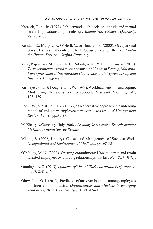- Karasek, R.A., Jr. (1979). Job demands, job decision latitude and mental strain: Implications for job redesign. *Administrative Science Quarterly, 24,* 285-308.
- Kendall, E., Murphy, P., O'Neill, V., & Bursnall, S. (2000). Occupational Stress: Factors that contribute to its Occurrence and Effective. *Centre for Human Services, Griffith University.*
- Keni, Rajendran, M., Teoh, A. P., Rubiah, A. R., & Tarumanagara. (2013). *Turnover intention trend among commercial Banks in Penang, Malaysia. Paper presented at International Conference on Entrepreneurship and Business Management.*
- Kirmeyer, S. L., & Dougherty, T. W. (1988). Workload, tension, and coping: Moderating effects of supervisor support. *Personnel Psychology, 41,*  125–139.
- Lee, T.W., & Mitchell, T.R. (1994), "An alternative approach: the unfolding model of voluntary employee turnover", *Academy of Management Review, Vol. 19* pp.51-89.
- McKinsey & Company. (July, 2008). *Creating Organization Transformation: McKinsey Global Survey Results.*
- Michie, S. (2002, January). Causes and Management of Stress at Work. *Occupational and Environmental Medicine. pp. 67-72.*
- O'Malley, M. N. (2000). Creating commitment: How to attract and retain talented employees by building relationships that last*. New York: Wiley.*
- Omolayo, B. O. (2013). *Influence of Mental Workload on Job Performance, 3(15)*, 238–246.
- Oluwafemi, O. J. (2013). Predictors of turnover intention among employees in Nigeria's oil industry. *Organizations and Markets in emerging economies, 2013, Vo.4, No. 2(8), 4 (2), 42-63.*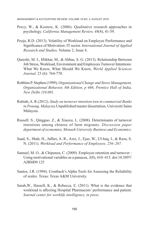- Percy, W., & Kostere, K. (2006). Qualitative research approaches in psychology. *California Management Review, 48*(4), 41-59.
- Pooja, R.D. (2013). Volatility of Workload on Employee Performance and Significance of Motivation: IT sector. *International Journal of Applied Research and Studies,* Volume 2, Issue 4.
- Qureshi, M. I., Iftikhar, M., & Abbas, S. G. (2013). Relationship Between Job Stress, Workload, Environment and Employees Turnover Intentions: What We Know, What Should We Know, *World Applied Sciences Journal,* 23 (6): 764-770.
- Robbins P. Stephen (1999), *Organizational Change and Stress Management, Organizational Behavior, 8th Edition, p 466, Prentice Hall of India, New Delhi 110.001.*
- Rubiah, A. R.(2012). *Study on turnover intention tren in commercial Banks in Penang, Malaysia*.Unpublished master dissertation, Universiti Sains Malaysia.
- Russell. S., Qingguo. Z., & Xiaoxu. L. (2008). Determinants of turnover intentions among chinese of farm migrants. *Discussion paper department of economies, Monash University Business and Economics.*
- Saad, S., Shah, H., Jaffari, A. R., Aziz, J., Ejaz, W., Ul-haq, I., & Raza, S. N. (2011). *Workload and Performance of Employees, 256–267.*
- Samuel, M. O., & Chipunza, C. (2009). Employee retention and turnover : Using motivational variables as a panacea, *3*(8), 410–415. doi:10.5897/ AJBM09.125
- Santos, J.R. (1994). Cronbach's Alpha Tools for Assessing the Reliability of scales. Texas: Texas A&M University.
- Sarah,W., Hassell, K., & Rebecca, E. (2011). What is the evidence that workload is affecting Hospital Pharmacists' performance and patient. J*ournal center for worklife intelligence, in press.*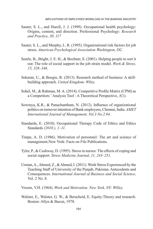- Sauter, S. L., and Hurell, J. J. (1999). Occupational health psychology: Origins, content, and direction. Professional Psychology: *Research and Practice, 30, 117*
- Sauter, S. L., and Murphy, L. R. (1995). Organizational risk factors for job stress. *American Psychological Association Washington, DC.*
- Searle, B., Bright, J. E. H., & Bochner, S. (2001). Helping people to sort it out: The role of social support in the job strain model. *Work & Stress, 15, 328–346.*
- Sekaran, U., & Bougie, R. (2013). Research method of business: A skillbuilding approach. *United Kingdom: Wiley.*
- Sohel, M., & Rahman, M. A. (2014). Competitive Profile Matrix (CPM) as a Competitors ' Analysis Tool : A Theoretical Perspective, *3*(1).
- Sowmya, K.R., & Panachantham, N. (2012). Influence of organizational politics on turnover intention of Bank employees, Chennai, India. *AMET International Journal of Management, Vol.3 No.2.94.*
- Standards, E. (2010). Occupational Therapy Code of Ethics and Ethics Standards *(2010 ), 1–11.*
- Timpe, A. D. (1986). Motivation of personnel: The art and science of management.New York: Facts on File Publications.
- Tyler, P., & Cushway, D. (1995). Stress in nurses: The effects of coping and social support. *Stress Medicine Journal, 11, 243–251.*
- Usman, A., Ahmed, Z., & Ahmed, I. (2011). Work Stress Experienced by the Teaching Staff of University of the Punjab, Pakistan: Antecedents and Consequences. *International Journal of Business and Social Science,* Vol. 2 No. 8.
- Vroom, V.H. (1964). *Work and Motivation. New York, NY: Willey.*
- Walster, E., Walster, G. W., & Berscheid, E. Equity:Theory and research. Boston: Allyn & Bacon, 1978.